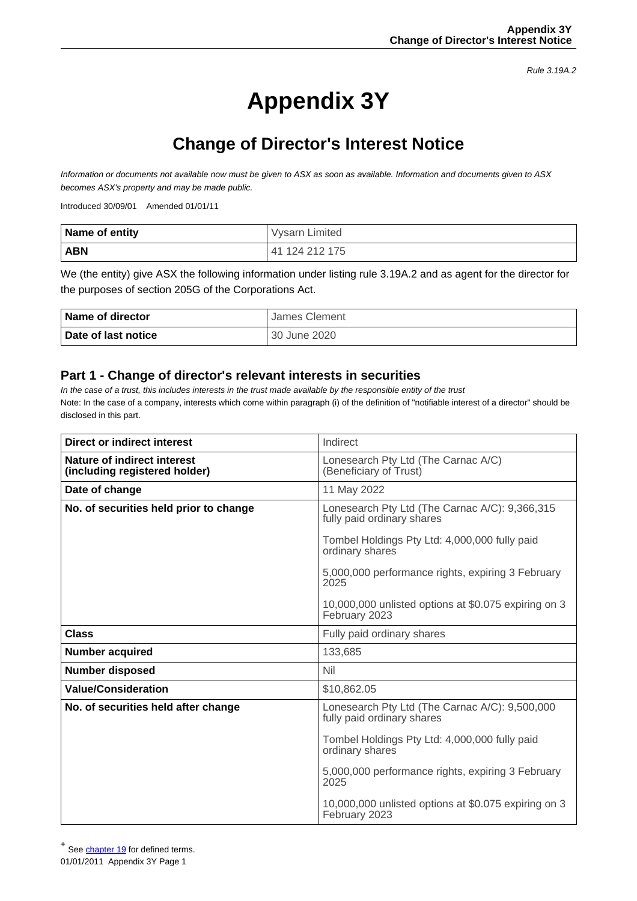Rule 3.19A.2

# **Appendix 3Y**

## **Change of Director's Interest Notice**

Information or documents not available now must be given to ASX as soon as available. Information and documents given to ASX becomes ASX's property and may be made public.

Introduced 30/09/01 Amended 01/01/11

| Name of entity | Vysarn Limited |
|----------------|----------------|
| <b>ABN</b>     | 41 124 212 175 |

We (the entity) give ASX the following information under listing rule 3.19A.2 and as agent for the director for the purposes of section 205G of the Corporations Act.

| Name of director    | James Clement |
|---------------------|---------------|
| Date of last notice | 30 June 2020  |

#### **Part 1 - Change of director's relevant interests in securities**

In the case of a trust, this includes interests in the trust made available by the responsible entity of the trust Note: In the case of a company, interests which come within paragraph (i) of the definition of "notifiable interest of a director" should be disclosed in this part.

| Direct or indirect interest                                  | Indirect                                                                     |  |
|--------------------------------------------------------------|------------------------------------------------------------------------------|--|
| Nature of indirect interest<br>(including registered holder) | Lonesearch Pty Ltd (The Carnac A/C)<br>(Beneficiary of Trust)                |  |
| Date of change                                               | 11 May 2022                                                                  |  |
| No. of securities held prior to change                       | Lonesearch Pty Ltd (The Carnac A/C): 9,366,315<br>fully paid ordinary shares |  |
|                                                              | Tombel Holdings Pty Ltd: 4,000,000 fully paid<br>ordinary shares             |  |
|                                                              | 5,000,000 performance rights, expiring 3 February<br>2025                    |  |
|                                                              | 10,000,000 unlisted options at \$0.075 expiring on 3<br>February 2023        |  |
| Class                                                        | Fully paid ordinary shares                                                   |  |
| <b>Number acquired</b>                                       | 133,685                                                                      |  |
| <b>Number disposed</b>                                       | Nil                                                                          |  |
| <b>Value/Consideration</b>                                   | \$10,862.05                                                                  |  |
| No. of securities held after change                          | Lonesearch Pty Ltd (The Carnac A/C): 9,500,000<br>fully paid ordinary shares |  |
|                                                              | Tombel Holdings Pty Ltd: 4,000,000 fully paid<br>ordinary shares             |  |
|                                                              | 5,000,000 performance rights, expiring 3 February<br>2025                    |  |
|                                                              | 10,000,000 unlisted options at \$0.075 expiring on 3<br>February 2023        |  |

+ See [chapter 19](http://www.asx.com.au/documents/rules/Chapter19.pdf) for defined terms.

01/01/2011 Appendix 3Y Page 1